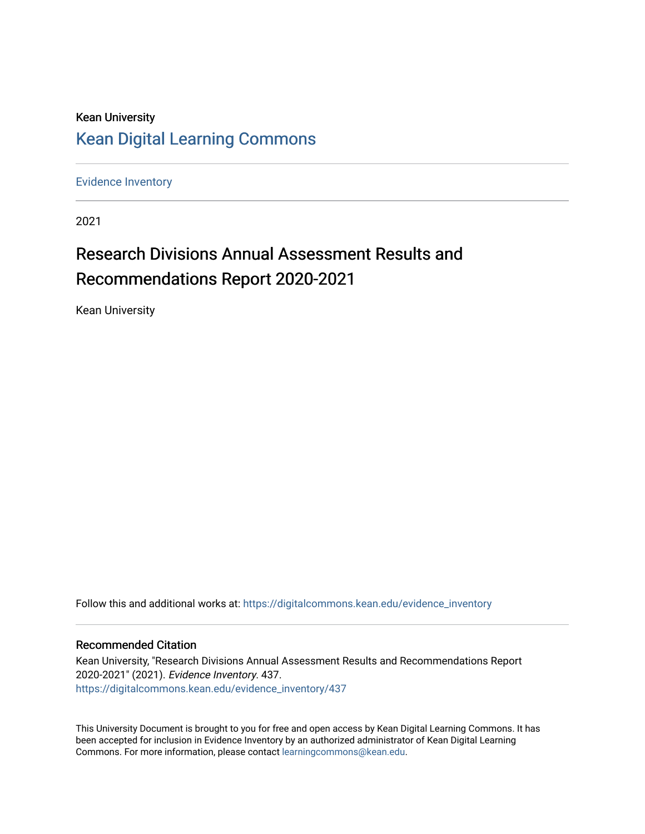### Kean University [Kean Digital Learning Commons](https://digitalcommons.kean.edu/)

[Evidence Inventory](https://digitalcommons.kean.edu/evidence_inventory) 

2021

# Research Divisions Annual Assessment Results and Recommendations Report 2020-2021

Kean University

Follow this and additional works at: [https://digitalcommons.kean.edu/evidence\\_inventory](https://digitalcommons.kean.edu/evidence_inventory?utm_source=digitalcommons.kean.edu%2Fevidence_inventory%2F437&utm_medium=PDF&utm_campaign=PDFCoverPages)

#### Recommended Citation

Kean University, "Research Divisions Annual Assessment Results and Recommendations Report 2020-2021" (2021). Evidence Inventory. 437. [https://digitalcommons.kean.edu/evidence\\_inventory/437](https://digitalcommons.kean.edu/evidence_inventory/437?utm_source=digitalcommons.kean.edu%2Fevidence_inventory%2F437&utm_medium=PDF&utm_campaign=PDFCoverPages)

This University Document is brought to you for free and open access by Kean Digital Learning Commons. It has been accepted for inclusion in Evidence Inventory by an authorized administrator of Kean Digital Learning Commons. For more information, please contact [learningcommons@kean.edu.](mailto:learningcommons@kean.edu)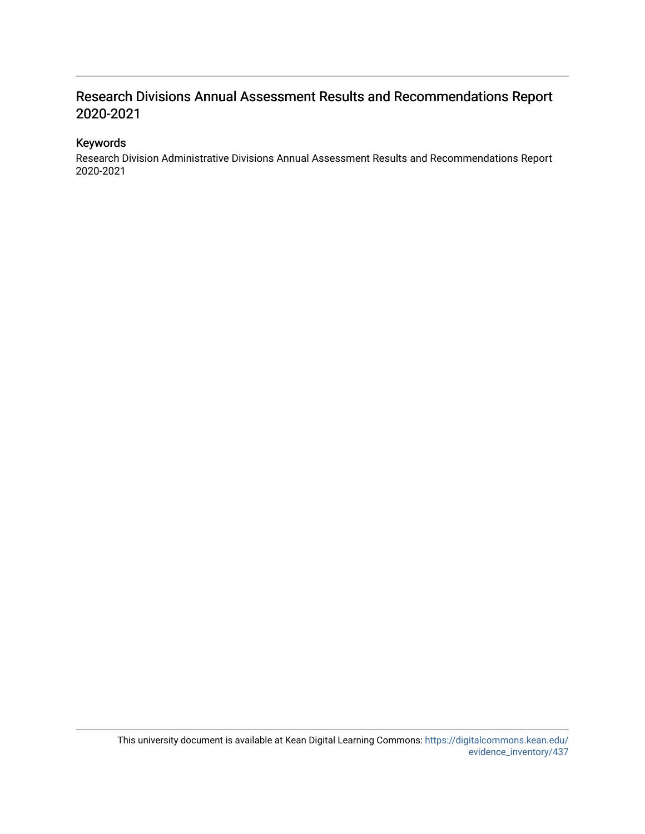### Research Divisions Annual Assessment Results and Recommendations Report 2020-2021

#### Keywords

Research Division Administrative Divisions Annual Assessment Results and Recommendations Report 2020-2021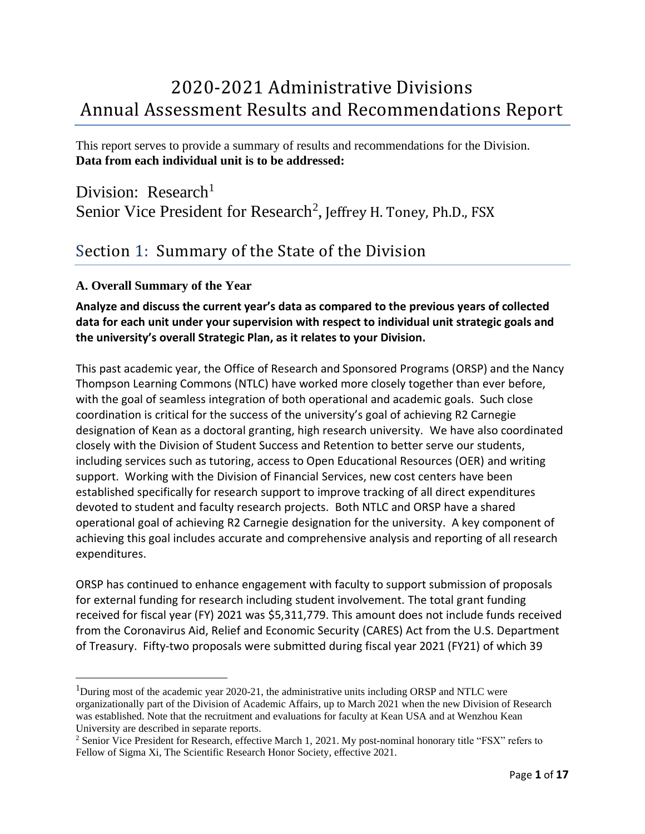# 2020-2021 Administrative Divisions Annual Assessment Results and Recommendations Report

This report serves to provide a summary of results and recommendations for the Division. **Data from each individual unit is to be addressed:**

Division:  $Research<sup>1</sup>$ Senior Vice President for Research<sup>2</sup>, Jeffrey H. Toney, Ph.D., FSX

### Section 1: Summary of the State of the Division

#### **A. Overall Summary of the Year**

#### **Analyze and discuss the current year's data as compared to the previous years of collected data for each unit under your supervision with respect to individual unit strategic goals and the university's overall Strategic Plan, as it relates to your Division.**

This past academic year, the Office of Research and Sponsored Programs (ORSP) and the Nancy Thompson Learning Commons (NTLC) have worked more closely together than ever before, with the goal of seamless integration of both operational and academic goals. Such close coordination is critical for the success of the university's goal of achieving R2 Carnegie designation of Kean as a doctoral granting, high research university. We have also coordinated closely with the Division of Student Success and Retention to better serve our students, including services such as tutoring, access to Open Educational Resources (OER) and writing support. Working with the Division of Financial Services, new cost centers have been established specifically for research support to improve tracking of all direct expenditures devoted to student and faculty research projects. Both NTLC and ORSP have a shared operational goal of achieving R2 Carnegie designation for the university. A key component of achieving this goal includes accurate and comprehensive analysis and reporting of all research expenditures.

ORSP has continued to enhance engagement with faculty to support submission of proposals for external funding for research including student involvement. The total grant funding received for fiscal year (FY) 2021 was \$5,311,779. This amount does not include funds received from the Coronavirus Aid, Relief and Economic Security (CARES) Act from the U.S. Department of Treasury. Fifty-two proposals were submitted during fiscal year 2021 (FY21) of which 39

<sup>&</sup>lt;sup>1</sup>During most of the academic year 2020-21, the administrative units including ORSP and NTLC were organizationally part of the Division of Academic Affairs, up to March 2021 when the new Division of Research was established. Note that the recruitment and evaluations for faculty at Kean USA and at Wenzhou Kean University are described in separate reports.

<sup>&</sup>lt;sup>2</sup> Senior Vice President for Research, effective March 1, 2021. My post-nominal honorary title "FSX" refers to Fellow of Sigma Xi, The Scientific Research Honor Society, effective 2021.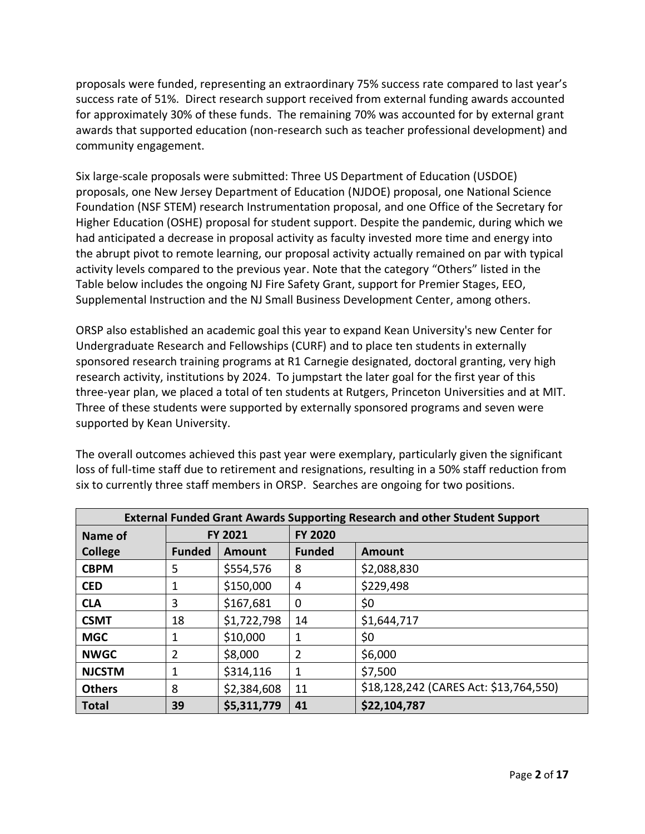proposals were funded, representing an extraordinary 75% success rate compared to last year's success rate of 51%. Direct research support received from external funding awards accounted for approximately 30% of these funds. The remaining 70% was accounted for by external grant awards that supported education (non-research such as teacher professional development) and community engagement.

Six large-scale proposals were submitted: Three US Department of Education (USDOE) proposals, one New Jersey Department of Education (NJDOE) proposal, one National Science Foundation (NSF STEM) research Instrumentation proposal, and one Office of the Secretary for Higher Education (OSHE) proposal for student support. Despite the pandemic, during which we had anticipated a decrease in proposal activity as faculty invested more time and energy into the abrupt pivot to remote learning, our proposal activity actually remained on par with typical activity levels compared to the previous year. Note that the category "Others" listed in the Table below includes the ongoing NJ Fire Safety Grant, support for Premier Stages, EEO, Supplemental Instruction and the NJ Small Business Development Center, among others.

ORSP also established an academic goal this year to expand Kean University's new Center for Undergraduate Research and Fellowships (CURF) and to place ten students in externally sponsored research training programs at R1 Carnegie designated, doctoral granting, very high research activity, institutions by 2024. To jumpstart the later goal for the first year of this three-year plan, we placed a total of ten students at Rutgers, Princeton Universities and at MIT. Three of these students were supported by externally sponsored programs and seven were supported by Kean University.

The overall outcomes achieved this past year were exemplary, particularly given the significant loss of full-time staff due to retirement and resignations, resulting in a 50% staff reduction from six to currently three staff members in ORSP. Searches are ongoing for two positions.

| <b>External Funded Grant Awards Supporting Research and other Student Support</b> |                |             |                |                                        |  |  |  |
|-----------------------------------------------------------------------------------|----------------|-------------|----------------|----------------------------------------|--|--|--|
| Name of                                                                           | <b>FY 2021</b> |             | <b>FY 2020</b> |                                        |  |  |  |
| <b>College</b>                                                                    | <b>Funded</b>  | Amount      | <b>Funded</b>  | Amount                                 |  |  |  |
| <b>CBPM</b>                                                                       | 5              | \$554,576   | 8              | \$2,088,830                            |  |  |  |
| <b>CED</b>                                                                        | 1              | \$150,000   | 4              | \$229,498                              |  |  |  |
| <b>CLA</b>                                                                        | 3              | \$167,681   | $\mathbf 0$    | \$0                                    |  |  |  |
| <b>CSMT</b>                                                                       | 18             | \$1,722,798 | 14             | \$1,644,717                            |  |  |  |
| <b>MGC</b>                                                                        | 1              | \$10,000    | 1              | \$0                                    |  |  |  |
| <b>NWGC</b>                                                                       | $\overline{2}$ | \$8,000     | $\overline{2}$ | \$6,000                                |  |  |  |
| <b>NJCSTM</b>                                                                     | 1              | \$314,116   | $\mathbf 1$    | \$7,500                                |  |  |  |
| <b>Others</b>                                                                     | 8              | \$2,384,608 | 11             | \$18,128,242 (CARES Act: \$13,764,550) |  |  |  |
| <b>Total</b>                                                                      | 39             | \$5,311,779 | 41             | \$22,104,787                           |  |  |  |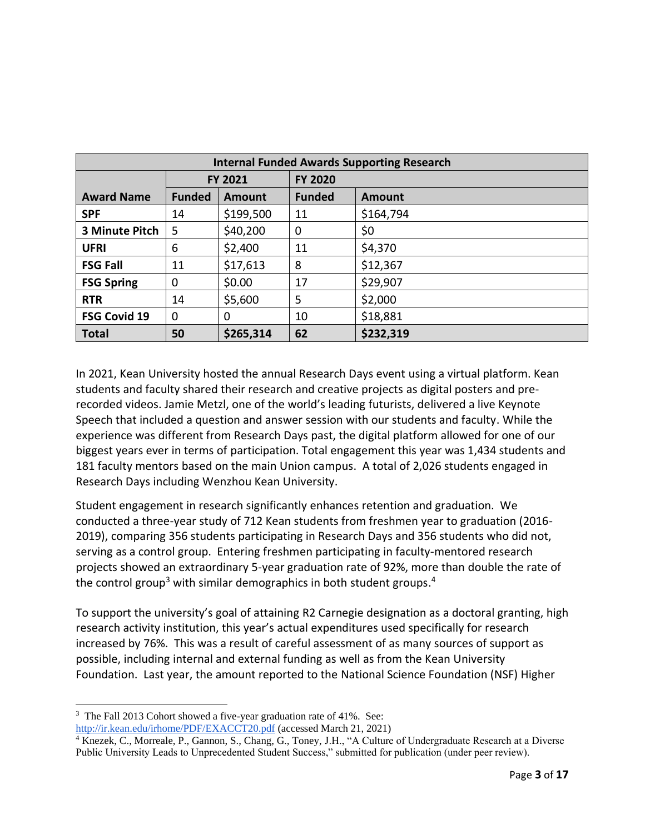| <b>Internal Funded Awards Supporting Research</b> |               |           |                |               |  |  |
|---------------------------------------------------|---------------|-----------|----------------|---------------|--|--|
|                                                   | FY 2021       |           | <b>FY 2020</b> |               |  |  |
| <b>Award Name</b>                                 | <b>Funded</b> | Amount    | <b>Funded</b>  | <b>Amount</b> |  |  |
| <b>SPF</b>                                        | 14            | \$199,500 | 11             | \$164,794     |  |  |
| <b>3 Minute Pitch</b>                             | 5             | \$40,200  | $\mathbf 0$    | \$0           |  |  |
| <b>UFRI</b>                                       | 6             | \$2,400   | 11             | \$4,370       |  |  |
| <b>FSG Fall</b>                                   | 11            | \$17,613  | 8              | \$12,367      |  |  |
| <b>FSG Spring</b>                                 | 0             | \$0.00    | 17             | \$29,907      |  |  |
| <b>RTR</b>                                        | 14            | \$5,600   | 5              | \$2,000       |  |  |
| <b>FSG Covid 19</b>                               | 0             | 0         | 10             | \$18,881      |  |  |
| <b>Total</b>                                      | 50            | \$265,314 | 62             | \$232,319     |  |  |

In 2021, Kean University hosted the annual Research Days event using a virtual platform. Kean students and faculty shared their research and creative projects as digital posters and prerecorded videos. Jamie Metzl, one of the world's leading futurists, delivered a live Keynote Speech that included a question and answer session with our students and faculty. While the experience was different from Research Days past, the digital platform allowed for one of our biggest years ever in terms of participation. Total engagement this year was 1,434 students and 181 faculty mentors based on the main Union campus. A total of 2,026 students engaged in Research Days including Wenzhou Kean University.

Student engagement in research significantly enhances retention and graduation. We conducted a three-year study of 712 Kean students from freshmen year to graduation (2016- 2019), comparing 356 students participating in Research Days and 356 students who did not, serving as a control group. Entering freshmen participating in faculty-mentored research projects showed an extraordinary 5-year graduation rate of 92%, more than double the rate of the control group<sup>3</sup> with similar demographics in both student groups.<sup>4</sup>

To support the university's goal of attaining R2 Carnegie designation as a doctoral granting, high research activity institution, this year's actual expenditures used specifically for research increased by 76%. This was a result of careful assessment of as many sources of support as possible, including internal and external funding as well as from the Kean University Foundation. Last year, the amount reported to the National Science Foundation (NSF) Higher

<sup>&</sup>lt;sup>3</sup> The Fall 2013 Cohort showed a five-year graduation rate of 41%. See:

<http://ir.kean.edu/irhome/PDF/EXACCT20.pdf> (accessed March 21, 2021)

<sup>&</sup>lt;sup>4</sup> Knezek, C., Morreale, P., Gannon, S., Chang, G., Toney, J.H., "A Culture of Undergraduate Research at a Diverse Public University Leads to Unprecedented Student Success," submitted for publication (under peer review).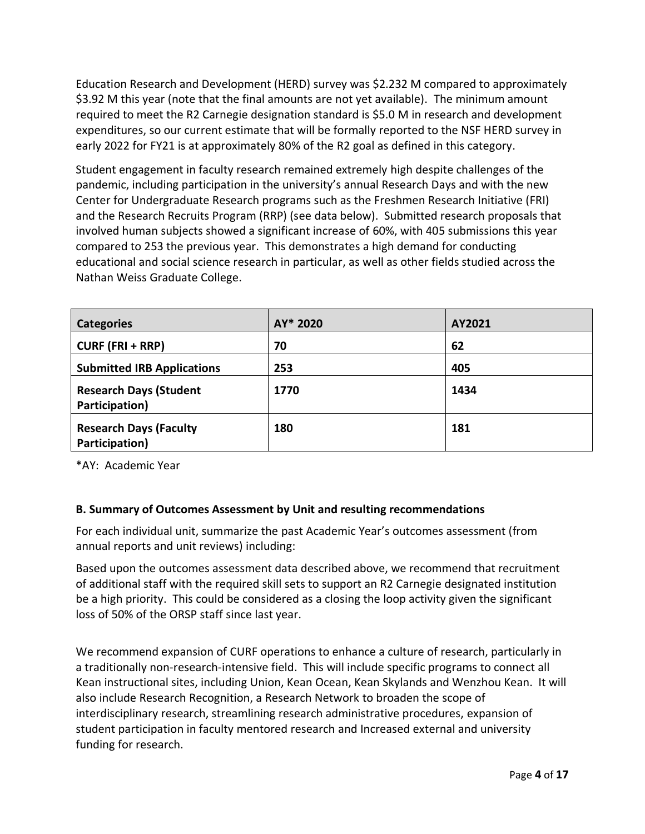Education Research and Development (HERD) survey was \$2.232 M compared to approximately \$3.92 M this year (note that the final amounts are not yet available). The minimum amount required to meet the R2 Carnegie designation standard is \$5.0 M in research and development expenditures, so our current estimate that will be formally reported to the NSF HERD survey in early 2022 for FY21 is at approximately 80% of the R2 goal as defined in this category.

Student engagement in faculty research remained extremely high despite challenges of the pandemic, including participation in the university's annual Research Days and with the new Center for Undergraduate Research programs such as the Freshmen Research Initiative (FRI) and the Research Recruits Program (RRP) (see data below). Submitted research proposals that involved human subjects showed a significant increase of 60%, with 405 submissions this year compared to 253 the previous year. This demonstrates a high demand for conducting educational and social science research in particular, as well as other fields studied across the Nathan Weiss Graduate College.

| <b>Categories</b>                               | AY* 2020 | AY2021 |
|-------------------------------------------------|----------|--------|
| $CURE (FRI + RRP)$                              | 70       | 62     |
| <b>Submitted IRB Applications</b>               | 253      | 405    |
| <b>Research Days (Student</b><br>Participation) | 1770     | 1434   |
| <b>Research Days (Faculty</b><br>Participation) | 180      | 181    |

\*AY: Academic Year

#### **B. Summary of Outcomes Assessment by Unit and resulting recommendations**

For each individual unit, summarize the past Academic Year's outcomes assessment (from annual reports and unit reviews) including:

Based upon the outcomes assessment data described above, we recommend that recruitment of additional staff with the required skill sets to support an R2 Carnegie designated institution be a high priority. This could be considered as a closing the loop activity given the significant loss of 50% of the ORSP staff since last year.

We recommend expansion of CURF operations to enhance a culture of research, particularly in a traditionally non‐research‐intensive field. This will include specific programs to connect all Kean instructional sites, including Union, Kean Ocean, Kean Skylands and Wenzhou Kean. It will also include Research Recognition, a Research Network to broaden the scope of interdisciplinary research, streamlining research administrative procedures, expansion of student participation in faculty mentored research and Increased external and university funding for research.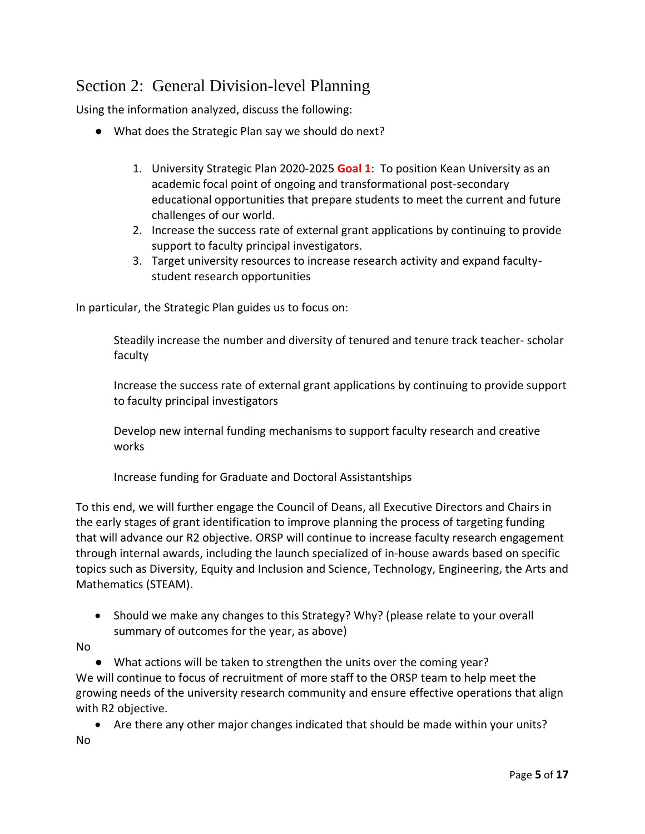## Section 2: General Division-level Planning

Using the information analyzed, discuss the following:

- What does the Strategic Plan say we should do next?
	- 1. University Strategic Plan 2020-2025 **Goal 1**: To position Kean University as an academic focal point of ongoing and transformational post-secondary educational opportunities that prepare students to meet the current and future challenges of our world.
	- 2. Increase the success rate of external grant applications by continuing to provide support to faculty principal investigators.
	- 3. Target university resources to increase research activity and expand facultystudent research opportunities

In particular, the Strategic Plan guides us to focus on:

Steadily increase the number and diversity of tenured and tenure track teacher- scholar faculty

Increase the success rate of external grant applications by continuing to provide support to faculty principal investigators

Develop new internal funding mechanisms to support faculty research and creative works

Increase funding for Graduate and Doctoral Assistantships

To this end, we will further engage the Council of Deans, all Executive Directors and Chairs in the early stages of grant identification to improve planning the process of targeting funding that will advance our R2 objective. ORSP will continue to increase faculty research engagement through internal awards, including the launch specialized of in-house awards based on specific topics such as Diversity, Equity and Inclusion and Science, Technology, Engineering, the Arts and Mathematics (STEAM).

• Should we make any changes to this Strategy? Why? (please relate to your overall summary of outcomes for the year, as above)

#### No

● What actions will be taken to strengthen the units over the coming year? We will continue to focus of recruitment of more staff to the ORSP team to help meet the growing needs of the university research community and ensure effective operations that align with R2 objective.

• Are there any other major changes indicated that should be made within your units? No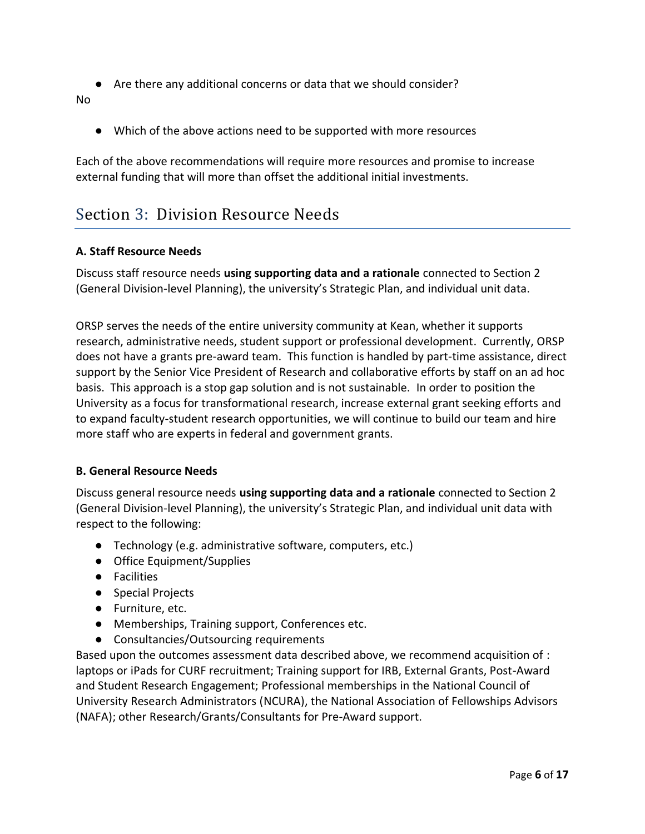● Are there any additional concerns or data that we should consider?

No

● Which of the above actions need to be supported with more resources

Each of the above recommendations will require more resources and promise to increase external funding that will more than offset the additional initial investments.

### Section 3: Division Resource Needs

#### **A. Staff Resource Needs**

Discuss staff resource needs **using supporting data and a rationale** connected to Section 2 (General Division-level Planning), the university's Strategic Plan, and individual unit data.

ORSP serves the needs of the entire university community at Kean, whether it supports research, administrative needs, student support or professional development. Currently, ORSP does not have a grants pre-award team. This function is handled by part-time assistance, direct support by the Senior Vice President of Research and collaborative efforts by staff on an ad hoc basis. This approach is a stop gap solution and is not sustainable. In order to position the University as a focus for transformational research, increase external grant seeking efforts and to expand faculty-student research opportunities, we will continue to build our team and hire more staff who are experts in federal and government grants.

#### **B. General Resource Needs**

Discuss general resource needs **using supporting data and a rationale** connected to Section 2 (General Division-level Planning), the university's Strategic Plan, and individual unit data with respect to the following:

- Technology (e.g. administrative software, computers, etc.)
- Office Equipment/Supplies
- Facilities
- Special Projects
- Furniture, etc.
- Memberships, Training support, Conferences etc.
- Consultancies/Outsourcing requirements

Based upon the outcomes assessment data described above, we recommend acquisition of : laptops or iPads for CURF recruitment; Training support for IRB, External Grants, Post-Award and Student Research Engagement; Professional memberships in the National Council of University Research Administrators (NCURA), the National Association of Fellowships Advisors (NAFA); other Research/Grants/Consultants for Pre-Award support.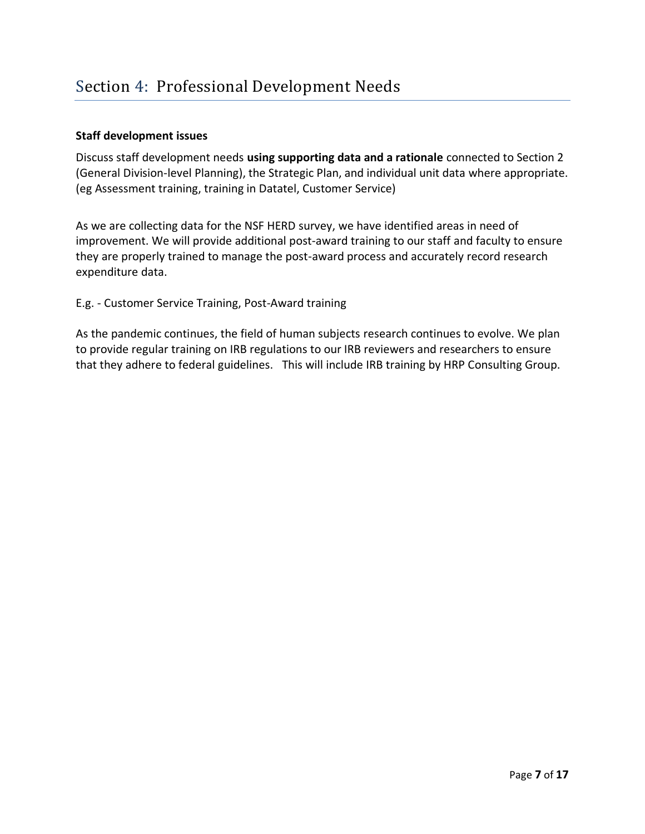#### **Staff development issues**

Discuss staff development needs **using supporting data and a rationale** connected to Section 2 (General Division-level Planning), the Strategic Plan, and individual unit data where appropriate. (eg Assessment training, training in Datatel, Customer Service)

As we are collecting data for the NSF HERD survey, we have identified areas in need of improvement. We will provide additional post-award training to our staff and faculty to ensure they are properly trained to manage the post-award process and accurately record research expenditure data.

E.g. - Customer Service Training, Post-Award training

As the pandemic continues, the field of human subjects research continues to evolve. We plan to provide regular training on IRB regulations to our IRB reviewers and researchers to ensure that they adhere to federal guidelines. This will include IRB training by HRP Consulting Group.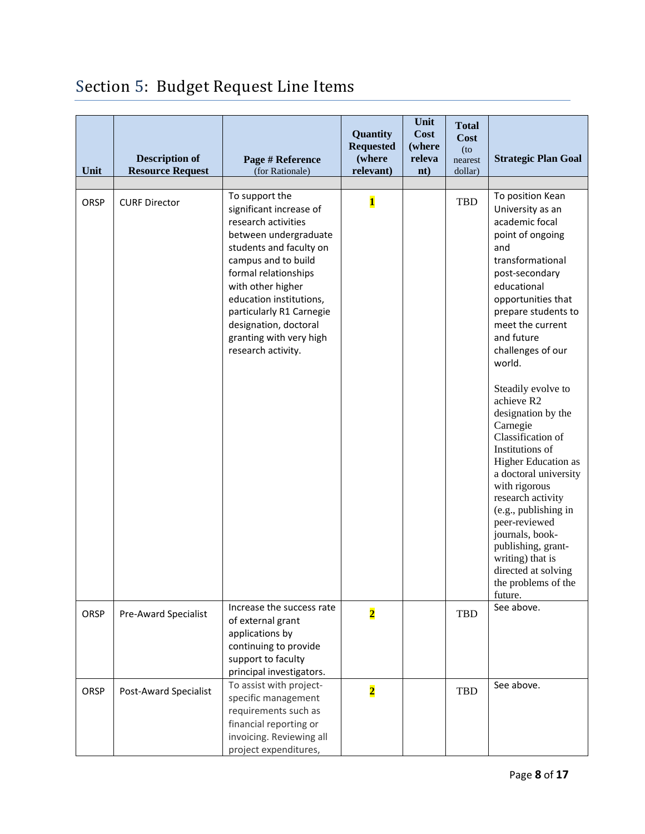|  | Section 5: Budget Request Line Items |  |
|--|--------------------------------------|--|
|  |                                      |  |

| Unit        | <b>Description of</b><br><b>Resource Request</b> | Page # Reference<br>(for Rationale)                                                                                                                                                                                                                                                                                       | Quantity<br><b>Requested</b><br>(where<br>relevant) | Unit<br><b>Cost</b><br>(where<br>releva<br>nt) | <b>Total</b><br>Cost<br>$($ to<br>nearest<br>dollar) | <b>Strategic Plan Goal</b>                                                                                                                                                                                                                                                                                                                                                                                                                                                                                                                                                                                              |
|-------------|--------------------------------------------------|---------------------------------------------------------------------------------------------------------------------------------------------------------------------------------------------------------------------------------------------------------------------------------------------------------------------------|-----------------------------------------------------|------------------------------------------------|------------------------------------------------------|-------------------------------------------------------------------------------------------------------------------------------------------------------------------------------------------------------------------------------------------------------------------------------------------------------------------------------------------------------------------------------------------------------------------------------------------------------------------------------------------------------------------------------------------------------------------------------------------------------------------------|
|             |                                                  |                                                                                                                                                                                                                                                                                                                           |                                                     |                                                |                                                      |                                                                                                                                                                                                                                                                                                                                                                                                                                                                                                                                                                                                                         |
| <b>ORSP</b> | <b>CURF Director</b>                             | To support the<br>significant increase of<br>research activities<br>between undergraduate<br>students and faculty on<br>campus and to build<br>formal relationships<br>with other higher<br>education institutions,<br>particularly R1 Carnegie<br>designation, doctoral<br>granting with very high<br>research activity. | $\overline{\mathbf{1}}$                             |                                                | TBD                                                  | To position Kean<br>University as an<br>academic focal<br>point of ongoing<br>and<br>transformational<br>post-secondary<br>educational<br>opportunities that<br>prepare students to<br>meet the current<br>and future<br>challenges of our<br>world.<br>Steadily evolve to<br>achieve R2<br>designation by the<br>Carnegie<br>Classification of<br>Institutions of<br>Higher Education as<br>a doctoral university<br>with rigorous<br>research activity<br>(e.g., publishing in<br>peer-reviewed<br>journals, book-<br>publishing, grant-<br>writing) that is<br>directed at solving<br>the problems of the<br>future. |
| ORSP        | <b>Pre-Award Specialist</b>                      | Increase the success rate<br>of external grant<br>applications by<br>continuing to provide<br>support to faculty<br>principal investigators.                                                                                                                                                                              | $\overline{\mathbf{2}}$                             |                                                | TBD                                                  | See above.                                                                                                                                                                                                                                                                                                                                                                                                                                                                                                                                                                                                              |
| ORSP        | Post-Award Specialist                            | To assist with project-<br>specific management<br>requirements such as<br>financial reporting or<br>invoicing. Reviewing all<br>project expenditures,                                                                                                                                                                     | $\overline{\mathbf{2}}$                             |                                                | TBD                                                  | See above.                                                                                                                                                                                                                                                                                                                                                                                                                                                                                                                                                                                                              |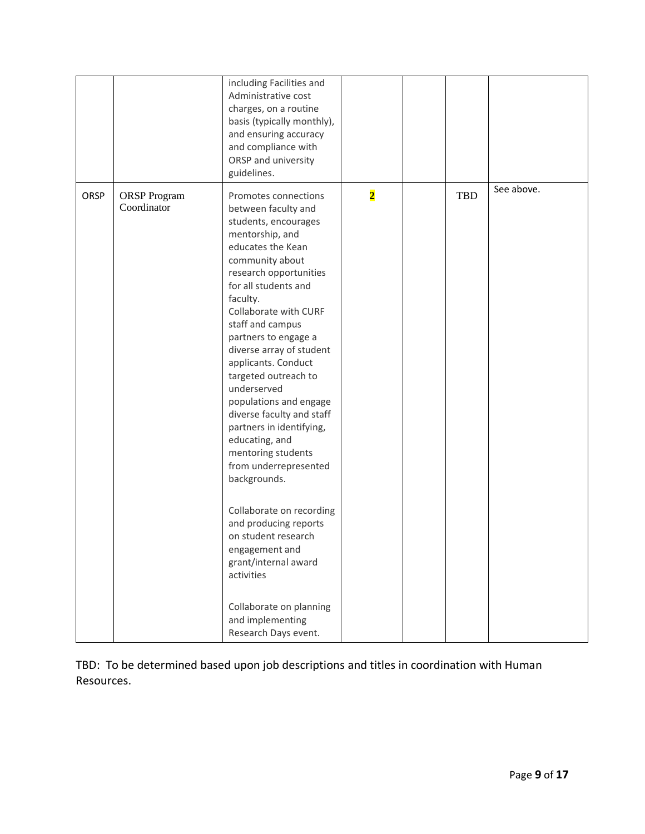|      |                                    | including Facilities and<br>Administrative cost<br>charges, on a routine<br>basis (typically monthly),<br>and ensuring accuracy<br>and compliance with<br>ORSP and university<br>guidelines.                                                                                                                                                                                                                                                                                                                                                                                                                                                                                                                                               |                         |     |            |
|------|------------------------------------|--------------------------------------------------------------------------------------------------------------------------------------------------------------------------------------------------------------------------------------------------------------------------------------------------------------------------------------------------------------------------------------------------------------------------------------------------------------------------------------------------------------------------------------------------------------------------------------------------------------------------------------------------------------------------------------------------------------------------------------------|-------------------------|-----|------------|
| ORSP | <b>ORSP</b> Program<br>Coordinator | Promotes connections<br>between faculty and<br>students, encourages<br>mentorship, and<br>educates the Kean<br>community about<br>research opportunities<br>for all students and<br>faculty.<br>Collaborate with CURF<br>staff and campus<br>partners to engage a<br>diverse array of student<br>applicants. Conduct<br>targeted outreach to<br>underserved<br>populations and engage<br>diverse faculty and staff<br>partners in identifying,<br>educating, and<br>mentoring students<br>from underrepresented<br>backgrounds.<br>Collaborate on recording<br>and producing reports<br>on student research<br>engagement and<br>grant/internal award<br>activities<br>Collaborate on planning<br>and implementing<br>Research Days event. | $\overline{\mathbf{2}}$ | TBD | See above. |

TBD: To be determined based upon job descriptions and titles in coordination with Human Resources.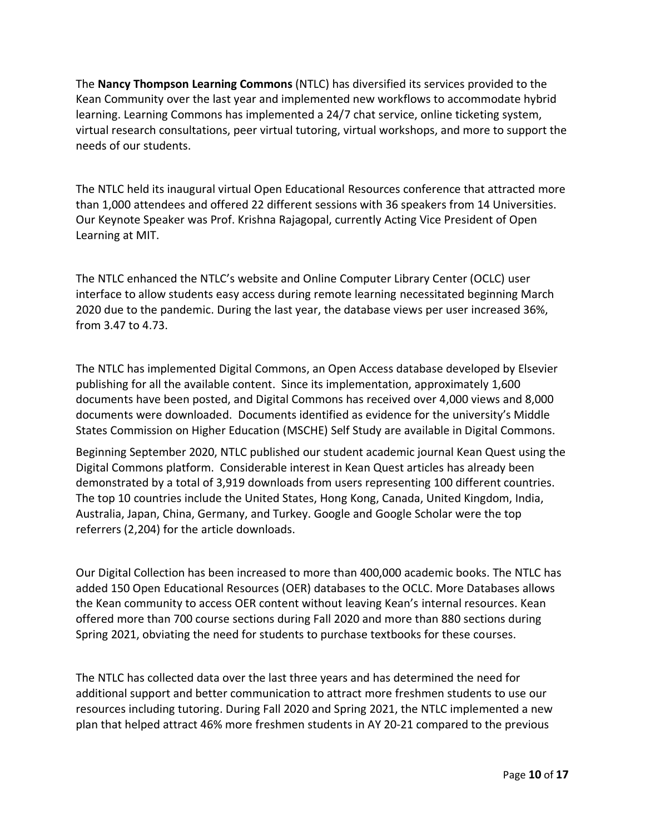The **Nancy Thompson Learning Commons** (NTLC) has diversified its services provided to the Kean Community over the last year and implemented new workflows to accommodate hybrid learning. Learning Commons has implemented a 24/7 chat service, online ticketing system, virtual research consultations, peer virtual tutoring, virtual workshops, and more to support the needs of our students.

The NTLC held its inaugural virtual Open Educational Resources conference that attracted more than 1,000 attendees and offered 22 different sessions with 36 speakers from 14 Universities. Our Keynote Speaker was Prof. Krishna Rajagopal, currently Acting Vice President of Open Learning at MIT.

The NTLC enhanced the NTLC's website and Online Computer Library Center (OCLC) user interface to allow students easy access during remote learning necessitated beginning March 2020 due to the pandemic. During the last year, the database views per user increased 36%, from 3.47 to 4.73.

The NTLC has implemented Digital Commons, an Open Access database developed by Elsevier publishing for all the available content. Since its implementation, approximately 1,600 documents have been posted, and Digital Commons has received over 4,000 views and 8,000 documents were downloaded. Documents identified as evidence for the university's Middle States Commission on Higher Education (MSCHE) Self Study are available in Digital Commons.

Beginning September 2020, NTLC published our student academic journal Kean Quest using the Digital Commons platform. Considerable interest in Kean Quest articles has already been demonstrated by a total of 3,919 downloads from users representing 100 different countries. The top 10 countries include the United States, Hong Kong, Canada, United Kingdom, India, Australia, Japan, China, Germany, and Turkey. Google and Google Scholar were the top referrers (2,204) for the article downloads.

Our Digital Collection has been increased to more than 400,000 academic books. The NTLC has added 150 Open Educational Resources (OER) databases to the OCLC. More Databases allows the Kean community to access OER content without leaving Kean's internal resources. Kean offered more than 700 course sections during Fall 2020 and more than 880 sections during Spring 2021, obviating the need for students to purchase textbooks for these courses.

The NTLC has collected data over the last three years and has determined the need for additional support and better communication to attract more freshmen students to use our resources including tutoring. During Fall 2020 and Spring 2021, the NTLC implemented a new plan that helped attract 46% more freshmen students in AY 20-21 compared to the previous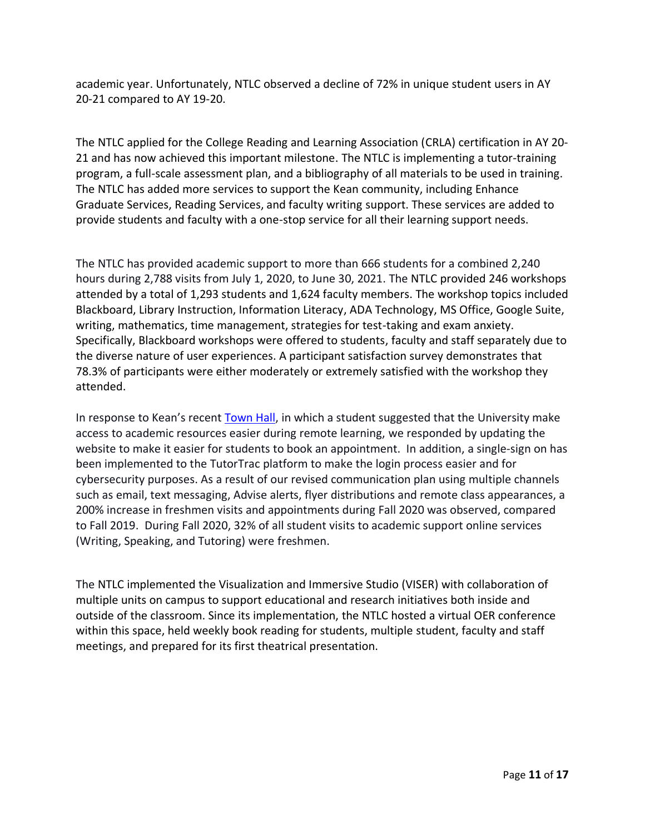academic year. Unfortunately, NTLC observed a decline of 72% in unique student users in AY 20-21 compared to AY 19-20.

The NTLC applied for the College Reading and Learning Association (CRLA) certification in AY 20- 21 and has now achieved this important milestone. The NTLC is implementing a tutor-training program, a full-scale assessment plan, and a bibliography of all materials to be used in training. The NTLC has added more services to support the Kean community, including Enhance Graduate Services, Reading Services, and faculty writing support. These services are added to provide students and faculty with a one-stop service for all their learning support needs.

The NTLC has provided academic support to more than 666 students for a combined 2,240 hours during 2,788 visits from July 1, 2020, to June 30, 2021. The NTLC provided 246 workshops attended by a total of 1,293 students and 1,624 faculty members. The workshop topics included Blackboard, Library Instruction, Information Literacy, ADA Technology, MS Office, Google Suite, writing, mathematics, time management, strategies for test-taking and exam anxiety. Specifically, Blackboard workshops were offered to students, faculty and staff separately due to the diverse nature of user experiences. A participant satisfaction survey demonstrates that 78.3% of participants were either moderately or extremely satisfied with the workshop they attended.

In response to Kean's recent [Town Hall,](https://www.kean.edu/office-president/student-town-hall) in which a student suggested that the University make access to academic resources easier during remote learning, we responded by updating the website to make it easier for students to book an appointment. In addition, a single-sign on has been implemented to the TutorTrac platform to make the login process easier and for cybersecurity purposes. As a result of our revised communication plan using multiple channels such as email, text messaging, Advise alerts, flyer distributions and remote class appearances, a 200% increase in freshmen visits and appointments during Fall 2020 was observed, compared to Fall 2019. During Fall 2020, 32% of all student visits to academic support online services (Writing, Speaking, and Tutoring) were freshmen.

The NTLC implemented the Visualization and Immersive Studio (VISER) with collaboration of multiple units on campus to support educational and research initiatives both inside and outside of the classroom. Since its implementation, the NTLC hosted a virtual OER conference within this space, held weekly book reading for students, multiple student, faculty and staff meetings, and prepared for its first theatrical presentation.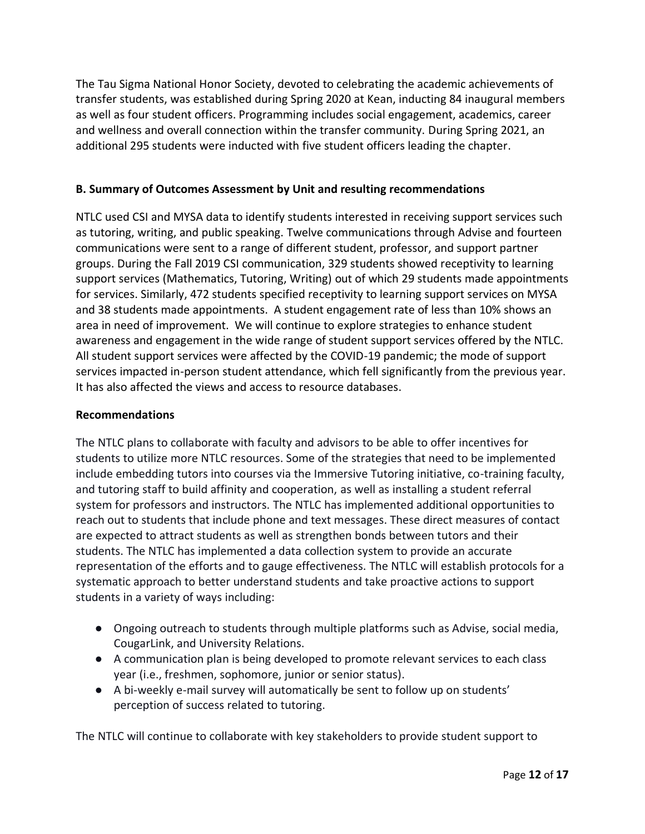The Tau Sigma National Honor Society, devoted to celebrating the academic achievements of transfer students, was established during Spring 2020 at Kean, inducting 84 inaugural members as well as four student officers. Programming includes social engagement, academics, career and wellness and overall connection within the transfer community. During Spring 2021, an additional 295 students were inducted with five student officers leading the chapter.

#### **B. Summary of Outcomes Assessment by Unit and resulting recommendations**

NTLC used CSI and MYSA data to identify students interested in receiving support services such as tutoring, writing, and public speaking. Twelve communications through Advise and fourteen communications were sent to a range of different student, professor, and support partner groups. During the Fall 2019 CSI communication, 329 students showed receptivity to learning support services (Mathematics, Tutoring, Writing) out of which 29 students made appointments for services. Similarly, 472 students specified receptivity to learning support services on MYSA and 38 students made appointments. A student engagement rate of less than 10% shows an area in need of improvement. We will continue to explore strategies to enhance student awareness and engagement in the wide range of student support services offered by the NTLC. All student support services were affected by the COVID-19 pandemic; the mode of support services impacted in-person student attendance, which fell significantly from the previous year. It has also affected the views and access to resource databases.

#### **Recommendations**

The NTLC plans to collaborate with faculty and advisors to be able to offer incentives for students to utilize more NTLC resources. Some of the strategies that need to be implemented include embedding tutors into courses via the Immersive Tutoring initiative, co-training faculty, and tutoring staff to build affinity and cooperation, as well as installing a student referral system for professors and instructors. The NTLC has implemented additional opportunities to reach out to students that include phone and text messages. These direct measures of contact are expected to attract students as well as strengthen bonds between tutors and their students. The NTLC has implemented a data collection system to provide an accurate representation of the efforts and to gauge effectiveness. The NTLC will establish protocols for a systematic approach to better understand students and take proactive actions to support students in a variety of ways including:

- Ongoing outreach to students through multiple platforms such as Advise, social media, CougarLink, and University Relations.
- A communication plan is being developed to promote relevant services to each class year (i.e., freshmen, sophomore, junior or senior status).
- A bi-weekly e-mail survey will automatically be sent to follow up on students' perception of success related to tutoring.

The NTLC will continue to collaborate with key stakeholders to provide student support to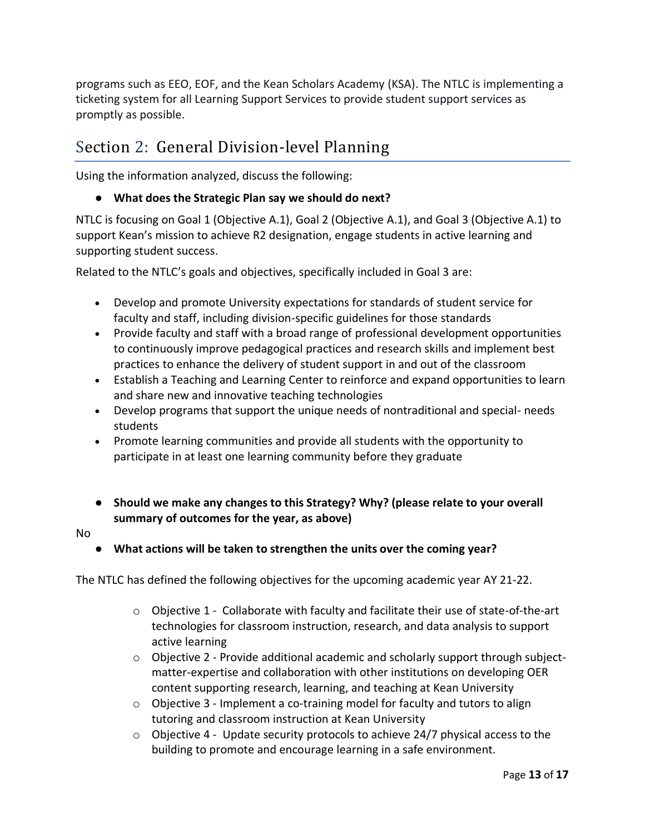programs such as EEO, EOF, and the Kean Scholars Academy (KSA). The NTLC is implementing a ticketing system for all Learning Support Services to provide student support services as promptly as possible.

# Section 2: General Division-level Planning

Using the information analyzed, discuss the following:

#### ● **What does the Strategic Plan say we should do next?**

NTLC is focusing on Goal 1 (Objective A.1), Goal 2 (Objective A.1), and Goal 3 (Objective A.1) to support Kean's mission to achieve R2 designation, engage students in active learning and supporting student success.

Related to the NTLC's goals and objectives, specifically included in Goal 3 are:

- Develop and promote University expectations for standards of student service for faculty and staff, including division-specific guidelines for those standards
- Provide faculty and staff with a broad range of professional development opportunities to continuously improve pedagogical practices and research skills and implement best practices to enhance the delivery of student support in and out of the classroom
- Establish a Teaching and Learning Center to reinforce and expand opportunities to learn and share new and innovative teaching technologies
- Develop programs that support the unique needs of nontraditional and special- needs students
- Promote learning communities and provide all students with the opportunity to participate in at least one learning community before they graduate
- **Should we make any changes to this Strategy? Why? (please relate to your overall summary of outcomes for the year, as above)**
- No

● **What actions will be taken to strengthen the units over the coming year?**

The NTLC has defined the following objectives for the upcoming academic year AY 21-22.

- $\circ$  Objective 1 Collaborate with faculty and facilitate their use of state-of-the-art technologies for classroom instruction, research, and data analysis to support active learning
- o Objective 2 Provide additional academic and scholarly support through subjectmatter-expertise and collaboration with other institutions on developing OER content supporting research, learning, and teaching at Kean University
- $\circ$  Objective 3 Implement a co-training model for faculty and tutors to align tutoring and classroom instruction at Kean University
- $\circ$  Objective 4 Update security protocols to achieve 24/7 physical access to the building to promote and encourage learning in a safe environment.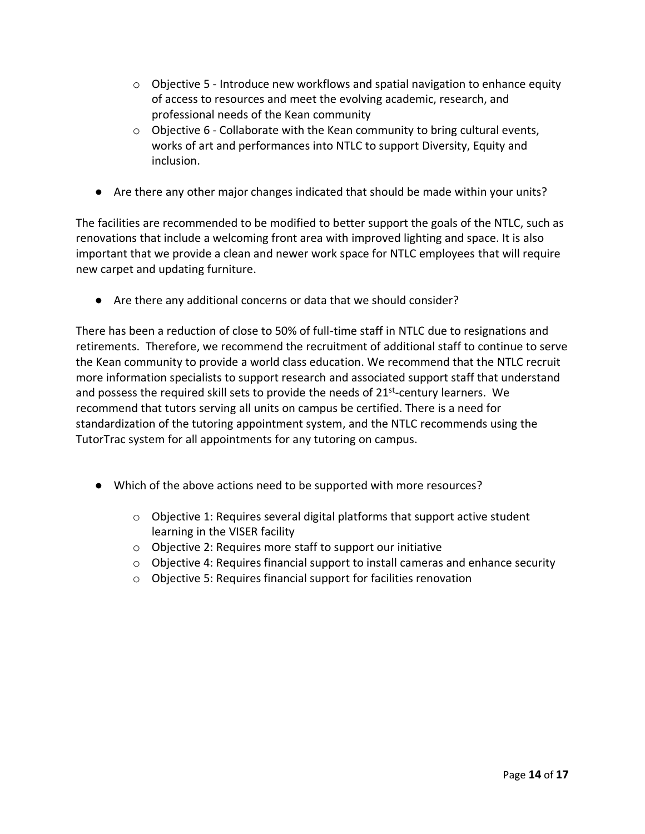- $\circ$  Objective 5 Introduce new workflows and spatial navigation to enhance equity of access to resources and meet the evolving academic, research, and professional needs of the Kean community
- $\circ$  Objective 6 Collaborate with the Kean community to bring cultural events, works of art and performances into NTLC to support Diversity, Equity and inclusion.
- Are there any other major changes indicated that should be made within your units?

The facilities are recommended to be modified to better support the goals of the NTLC, such as renovations that include a welcoming front area with improved lighting and space. It is also important that we provide a clean and newer work space for NTLC employees that will require new carpet and updating furniture.

● Are there any additional concerns or data that we should consider?

There has been a reduction of close to 50% of full-time staff in NTLC due to resignations and retirements. Therefore, we recommend the recruitment of additional staff to continue to serve the Kean community to provide a world class education. We recommend that the NTLC recruit more information specialists to support research and associated support staff that understand and possess the required skill sets to provide the needs of 21<sup>st</sup>-century learners. We recommend that tutors serving all units on campus be certified. There is a need for standardization of the tutoring appointment system, and the NTLC recommends using the TutorTrac system for all appointments for any tutoring on campus.

- Which of the above actions need to be supported with more resources?
	- $\circ$  Objective 1: Requires several digital platforms that support active student learning in the VISER facility
	- o Objective 2: Requires more staff to support our initiative
	- $\circ$  Objective 4: Requires financial support to install cameras and enhance security
	- o Objective 5: Requires financial support for facilities renovation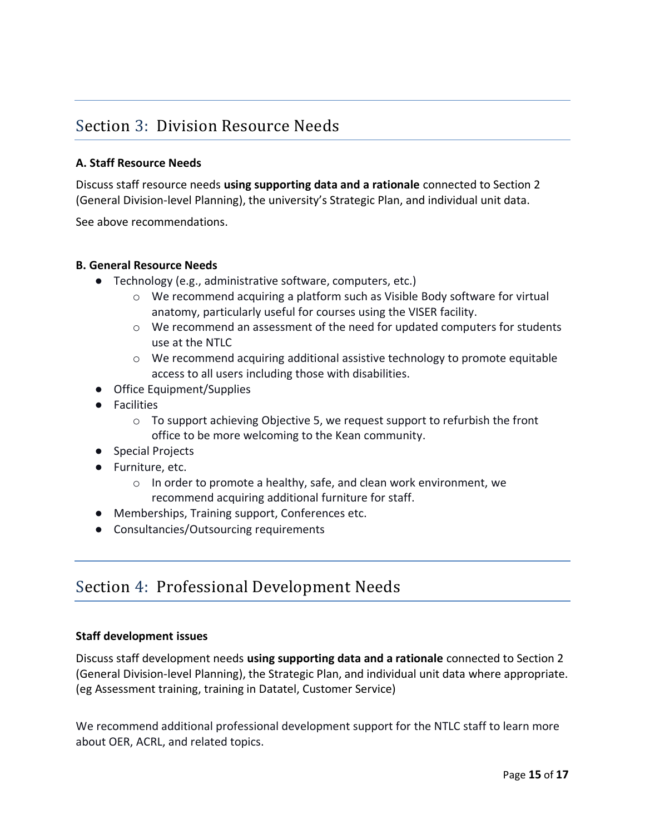### Section 3: Division Resource Needs

#### **A. Staff Resource Needs**

Discuss staff resource needs **using supporting data and a rationale** connected to Section 2 (General Division-level Planning), the university's Strategic Plan, and individual unit data.

See above recommendations.

#### **B. General Resource Needs**

- Technology (e.g., administrative software, computers, etc.)
	- $\circ$  We recommend acquiring a platform such as Visible Body software for virtual anatomy, particularly useful for courses using the VISER facility.
	- $\circ$  We recommend an assessment of the need for updated computers for students use at the NTLC
	- $\circ$  We recommend acquiring additional assistive technology to promote equitable access to all users including those with disabilities.
- Office Equipment/Supplies
- Facilities
	- $\circ$  To support achieving Objective 5, we request support to refurbish the front office to be more welcoming to the Kean community.
- Special Projects
- Furniture, etc.
	- $\circ$  In order to promote a healthy, safe, and clean work environment, we recommend acquiring additional furniture for staff.
- Memberships, Training support, Conferences etc.
- Consultancies/Outsourcing requirements

### Section 4: Professional Development Needs

#### **Staff development issues**

Discuss staff development needs **using supporting data and a rationale** connected to Section 2 (General Division-level Planning), the Strategic Plan, and individual unit data where appropriate. (eg Assessment training, training in Datatel, Customer Service)

We recommend additional professional development support for the NTLC staff to learn more about OER, ACRL, and related topics.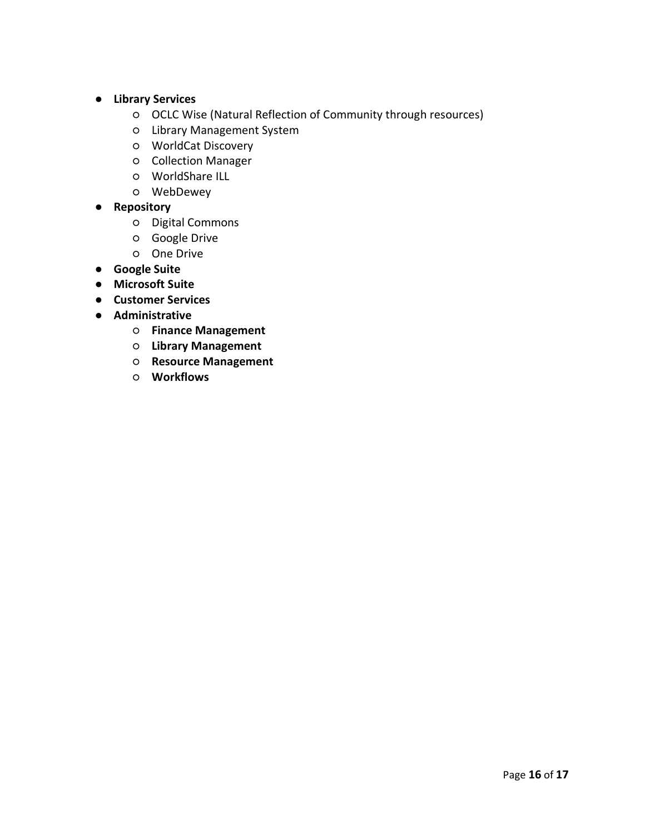- **Library Services**
	- OCLC Wise (Natural Reflection of Community through resources)
	- Library Management System
	- WorldCat Discovery
	- Collection Manager
	- WorldShare ILL
	- WebDewey
- **Repository**
	- Digital Commons
	- Google Drive
	- One Drive
- **Google Suite**
- **Microsoft Suite**
- **Customer Services**
- **Administrative**
	- **Finance Management**
	- **Library Management**
	- **Resource Management**
	- **Workflows**